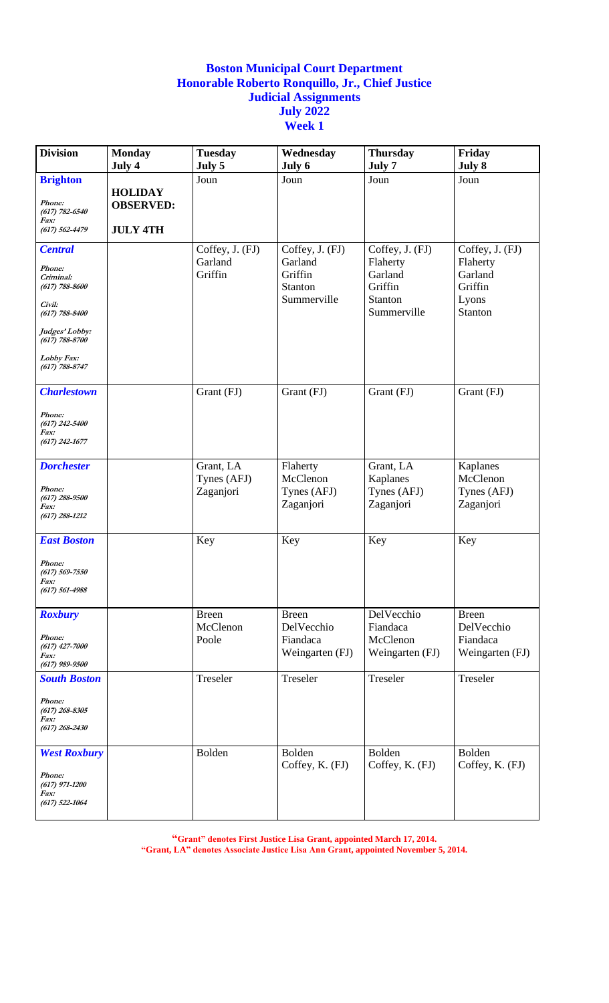| <b>Division</b>                                                           | <b>Monday</b><br>July 4                               | <b>Tuesday</b><br>July 5 | Wednesday<br>July 6                          | <b>Thursday</b><br>July 7                                | Friday<br>July 8                                   |
|---------------------------------------------------------------------------|-------------------------------------------------------|--------------------------|----------------------------------------------|----------------------------------------------------------|----------------------------------------------------|
| <b>Brighton</b>                                                           |                                                       | Joun                     | Joun                                         | Joun                                                     | Joun                                               |
| Phone:<br>$(617) 782 - 6540$<br>Fax:<br>$(617) 562 - 4479$                | <b>HOLIDAY</b><br><b>OBSERVED:</b><br><b>JULY 4TH</b> |                          |                                              |                                                          |                                                    |
| <b>Central</b>                                                            |                                                       | Coffey, J. (FJ)          | Coffey, J. (FJ)                              | Coffey, J. (FJ)                                          | Coffey, J. (FJ)                                    |
| Phone:<br>Criminal:<br>$(617) 788 - 8600$<br>Civil:<br>$(617) 788 - 8400$ |                                                       | Garland<br>Griffin       | Garland<br>Griffin<br>Stanton<br>Summerville | Flaherty<br>Garland<br>Griffin<br>Stanton<br>Summerville | Flaherty<br>Garland<br>Griffin<br>Lyons<br>Stanton |
| Judges' Lobby:<br>$(617) 788 - 8700$                                      |                                                       |                          |                                              |                                                          |                                                    |
| Lobby Fax:<br>$(617) 788 - 8747$                                          |                                                       |                          |                                              |                                                          |                                                    |
| <b>Charlestown</b>                                                        |                                                       | Grant (FJ)               | Grant (FJ)                                   | Grant (FJ)                                               | Grant (FJ)                                         |
| Phone:<br>$(617)$ 242-5400<br><i>Fax:</i><br>$(617)$ 242-1677             |                                                       |                          |                                              |                                                          |                                                    |
| <b>Dorchester</b>                                                         |                                                       | Grant, LA                | Flaherty                                     | Grant, LA                                                | Kaplanes                                           |
| Phone:<br>$(617)$ 288-9500<br>Fax:<br>$(617)$ 288-1212                    |                                                       | Tynes (AFJ)<br>Zaganjori | McClenon<br>Tynes (AFJ)<br>Zaganjori         | Kaplanes<br>Tynes (AFJ)<br>Zaganjori                     | McClenon<br>Tynes (AFJ)<br>Zaganjori               |
| <b>East Boston</b>                                                        |                                                       | Key                      | Key                                          | Key                                                      | Key                                                |
| Phone:<br>$(617)$ 569-7550<br><i>Fax:</i><br>$(617) 561 - 4988$           |                                                       |                          |                                              |                                                          |                                                    |
| <b>Roxbury</b>                                                            |                                                       | <b>Breen</b>             | <b>Breen</b>                                 | DelVecchio                                               | <b>Breen</b>                                       |
| Phone:<br>$(617)$ 427-7000<br>Fax:<br>$(617)$ 989-9500                    |                                                       | McClenon<br>Poole        | DelVecchio<br>Fiandaca<br>Weingarten (FJ)    | Fiandaca<br>McClenon<br>Weingarten (FJ)                  | DelVecchio<br>Fiandaca<br>Weingarten (FJ)          |
| <b>South Boston</b>                                                       |                                                       | Treseler                 | Treseler                                     | Treseler                                                 | Treseler                                           |
| Phone:<br>$(617)$ 268-8305<br><i>Fax:</i><br>$(617)$ 268-2430             |                                                       |                          |                                              |                                                          |                                                    |
| <b>West Roxbury</b>                                                       |                                                       | Bolden                   | Bolden                                       | Bolden                                                   | Bolden                                             |
| Phone:<br>$(617)$ 971-1200<br>Fax:<br>$(617)$ 522-1064                    |                                                       |                          | Coffey, K. (FJ)                              | Coffey, K. (FJ)                                          | Coffey, K. (FJ)                                    |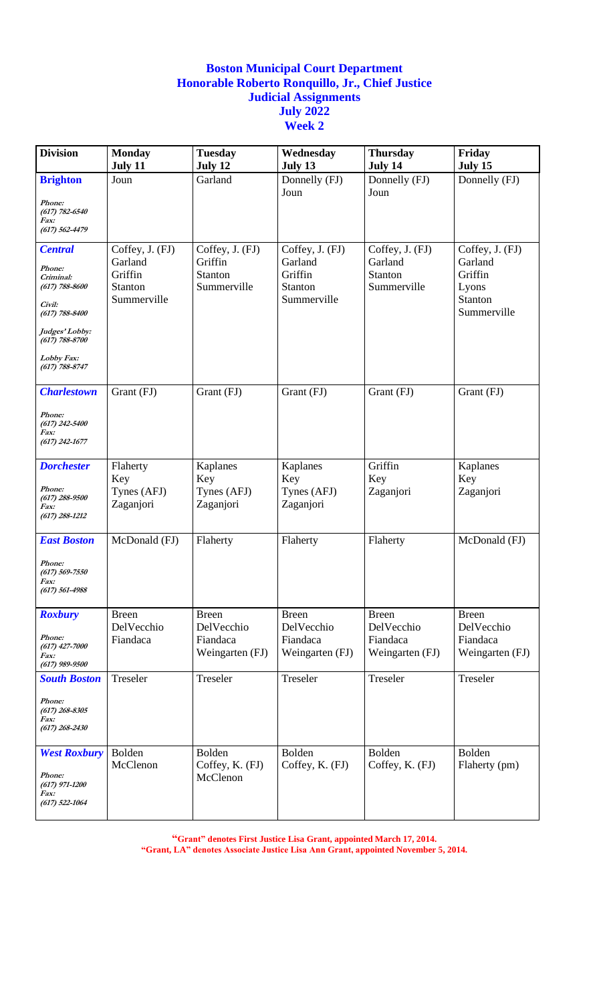| <b>Division</b>                                                                                                                                                       | <b>Monday</b><br>July 11                                        | <b>Tuesday</b><br>July 12                                 | Wednesday<br>July 13                                                   | <b>Thursday</b><br>July 14                                | Friday<br>July 15                                                        |
|-----------------------------------------------------------------------------------------------------------------------------------------------------------------------|-----------------------------------------------------------------|-----------------------------------------------------------|------------------------------------------------------------------------|-----------------------------------------------------------|--------------------------------------------------------------------------|
| <b>Brighton</b><br>Phone:<br>$(617) 782 - 6540$<br>Fax:<br>$(617) 562 - 4479$                                                                                         | Joun                                                            | Garland                                                   | Donnelly (FJ)<br>Joun                                                  | Donnelly (FJ)<br>Joun                                     | Donnelly (FJ)                                                            |
| <b>Central</b><br>Phone:<br>Criminal:<br>$(617) 788 - 8600$<br>Civil:<br>$(617) 788 - 8400$<br>Judges' Lobby:<br>$(617) 788 - 8700$<br>Lobby Fax:<br>$(617)$ 788-8747 | Coffey, J. (FJ)<br>Garland<br>Griffin<br>Stanton<br>Summerville | Coffey, J. (FJ)<br>Griffin<br>Stanton<br>Summerville      | Coffey, J. (FJ)<br>Garland<br>Griffin<br><b>Stanton</b><br>Summerville | Coffey, J. (FJ)<br>Garland<br>Stanton<br>Summerville      | Coffey, J. (FJ)<br>Garland<br>Griffin<br>Lyons<br>Stanton<br>Summerville |
| <b>Charlestown</b><br>Phone:<br>$(617)$ 242-5400<br>Fax:<br>$(617)$ 242-1677                                                                                          | Grant (FJ)                                                      | Grant (FJ)                                                | Grant (FJ)                                                             | Grant (FJ)                                                | Grant (FJ)                                                               |
| <b>Dorchester</b><br>Phone:<br>$(617)$ 288-9500<br>Fax:<br>$(617)$ 288-1212                                                                                           | Flaherty<br>Key<br>Tynes (AFJ)<br>Zaganjori                     | Kaplanes<br>Key<br>Tynes (AFJ)<br>Zaganjori               | Kaplanes<br>Key<br>Tynes (AFJ)<br>Zaganjori                            | Griffin<br>Key<br>Zaganjori                               | Kaplanes<br>Key<br>Zaganjori                                             |
| <b>East Boston</b><br>Phone:<br>$(617) 569 - 7550$<br>Fax:<br>$(617) 561 - 4988$                                                                                      | McDonald (FJ)                                                   | Flaherty                                                  | Flaherty                                                               | Flaherty                                                  | McDonald (FJ)                                                            |
| <b>Roxbury</b><br>Phone:<br>$(617)$ 427-7000<br>Fax:<br>$(617)$ 989-9500                                                                                              | <b>Breen</b><br>DelVecchio<br>Fiandaca                          | <b>Breen</b><br>DelVecchio<br>Fiandaca<br>Weingarten (FJ) | <b>Breen</b><br>DelVecchio<br>Fiandaca<br>Weingarten (FJ)              | <b>Breen</b><br>DelVecchio<br>Fiandaca<br>Weingarten (FJ) | <b>Breen</b><br>DelVecchio<br>Fiandaca<br>Weingarten (FJ)                |
| <b>South Boston</b><br>Phone:<br>$(617)$ 268-8305<br><i>Fax:</i><br>$(617)$ 268-2430                                                                                  | Treseler                                                        | Treseler                                                  | Treseler                                                               | Treseler                                                  | Treseler                                                                 |
| <b>West Roxbury</b><br>Phone:<br>$(617)$ 971-1200<br><i>Fax:</i><br>$(617)$ 522-1064                                                                                  | Bolden<br>McClenon                                              | Bolden<br>Coffey, K. (FJ)<br>McClenon                     | Bolden<br>Coffey, K. (FJ)                                              | Bolden<br>Coffey, K. (FJ)                                 | Bolden<br>Flaherty (pm)                                                  |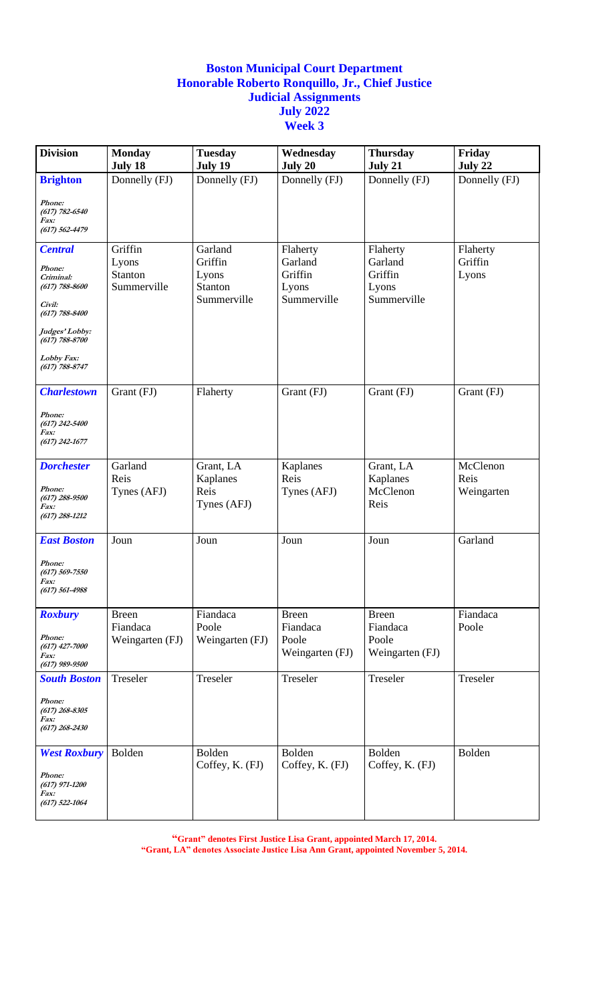| <b>Division</b>                                                                                                                                                         | <b>Monday</b><br>July 18                          | <b>Tuesday</b><br>July 19                             | Wednesday<br>July 20                                   | <b>Thursday</b><br>July 21                             | Friday<br>July 22              |
|-------------------------------------------------------------------------------------------------------------------------------------------------------------------------|---------------------------------------------------|-------------------------------------------------------|--------------------------------------------------------|--------------------------------------------------------|--------------------------------|
| <b>Brighton</b>                                                                                                                                                         | Donnelly (FJ)                                     | Donnelly (FJ)                                         | Donnelly (FJ)                                          | Donnelly (FJ)                                          | Donnelly (FJ)                  |
| Phone:<br>$(617) 782 - 6540$<br>Fax:<br>$(617) 562 - 4479$                                                                                                              |                                                   |                                                       |                                                        |                                                        |                                |
| <b>Central</b><br>Phone:<br>Criminal:<br>$(617) 788 - 8600$<br>Civil:<br>$(617) 788 - 8400$<br>Judges' Lobby:<br>$(617) 788 - 8700$<br>Lobby Fax:<br>$(617) 788 - 8747$ | Griffin<br>Lyons<br><b>Stanton</b><br>Summerville | Garland<br>Griffin<br>Lyons<br>Stanton<br>Summerville | Flaherty<br>Garland<br>Griffin<br>Lyons<br>Summerville | Flaherty<br>Garland<br>Griffin<br>Lyons<br>Summerville | Flaherty<br>Griffin<br>Lyons   |
| <b>Charlestown</b><br>Phone:<br>$(617)$ 242-5400<br>Fax:<br>$(617)$ 242-1677                                                                                            | Grant (FJ)                                        | Flaherty                                              | Grant (FJ)                                             | Grant (FJ)                                             | Grant (FJ)                     |
| <b>Dorchester</b><br>Phone:<br>$(617)$ 288-9500<br>Fax:<br>$(617)$ 288-1212                                                                                             | Garland<br>Reis<br>Tynes (AFJ)                    | Grant, LA<br>Kaplanes<br>Reis<br>Tynes (AFJ)          | Kaplanes<br>Reis<br>Tynes (AFJ)                        | Grant, LA<br>Kaplanes<br>McClenon<br>Reis              | McClenon<br>Reis<br>Weingarten |
| <b>East Boston</b><br>Phone:<br>$(617) 569 - 7550$<br>Fax:<br>$(617) 561 - 4988$                                                                                        | Joun                                              | Joun                                                  | Joun                                                   | Joun                                                   | Garland                        |
| <b>Roxbury</b><br>Phone:<br>$(617)$ 427-7000<br>Fax:<br>$(617)$ 989-9500                                                                                                | <b>Breen</b><br>Fiandaca<br>Weingarten (FJ)       | Fiandaca<br>Poole<br>Weingarten (FJ)                  | <b>Breen</b><br>Fiandaca<br>Poole<br>Weingarten (FJ)   | <b>Breen</b><br>Fiandaca<br>Poole<br>Weingarten (FJ)   | Fiandaca<br>Poole              |
| <b>South Boston</b><br>Phone:<br>$(617)$ 268-8305<br>Fax:<br>$(617)$ 268-2430                                                                                           | Treseler                                          | Treseler                                              | Treseler                                               | Treseler                                               | Treseler                       |
| <b>West Roxbury</b><br>Phone:<br>$(617)$ 971-1200<br><i>Fax:</i><br>$(617)$ 522-1064                                                                                    | Bolden                                            | Bolden<br>Coffey, K. (FJ)                             | Bolden<br>Coffey, K. (FJ)                              | Bolden<br>Coffey, K. (FJ)                              | Bolden                         |